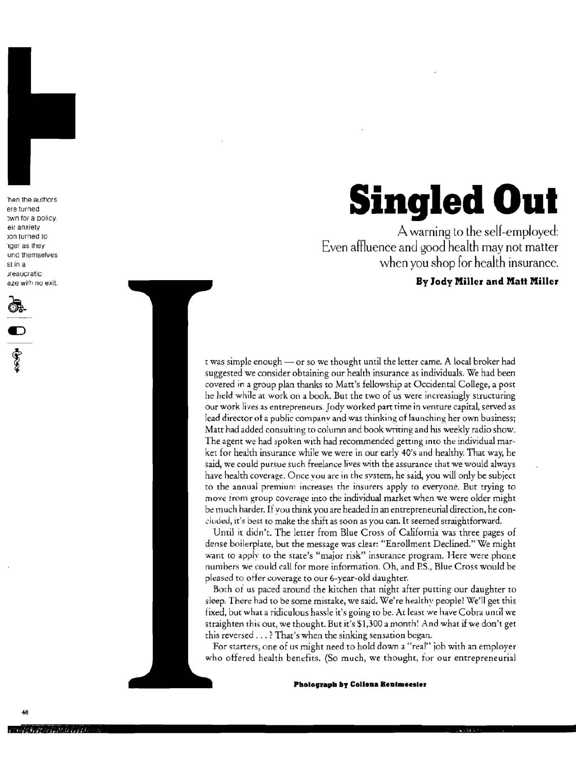'hen the authors ere turned 3wn for a policy, eir anxiety Ion turned to iger as they und themselves

st in a ~reaucratic aze with no exit.





## **Singled Out**

A warning to the self-employed: Even affluence and good health may not matter when you shop for health insurance.

**By Jody Miller and Matt Miller** 

t was simple enough - or so we thought until the letter came. **A** local broker had suggested we consider obtaining our health insurance as individuals. We had been covered in a group plan thanks to Matt's fellowship at Occidental College, a post he held while at work on a book. But the two of us were increasingly structuring our work lives as entrepreneurs. Jody worked part time in venture capital, served as lead director of a public companv and was thinking of launching her own business; Matt had added consulting to column and book writing and his weekly radio show. The agent we had spoken with had recommended getting into the individual market for health insurance while we were in our early 40's and healthy. That way, he said, we could pursue such freelance lives with the assurance chat we would always have health coverage. Once vou are in the svstem, he said, you will only be subject to the annual premium increases the insurers apply to everyone. But trying to move from group coverage into the individual market when we were older might be much harder. If you think you are headedin **an** entrepreneurial direction, he concluded, it's best to make the shift as soon as you can. It seemed straightforward.

Until it didn't. The letter from Blue Cross of California was three pages of dense boilerplate, but the message was clear: "Enrollment Declined." We might want to apply co the state's "major risk" insurance program. Here were phone numbers we could call for more information. Oh, and ES., Blue Cross would be pleased to offer coverage to our 6-year-old daughter.

Both of us paced around the kitchen that night after putting our daughter to sleep. There had ro be some mistake, we said. We're healthy people! We'll get this fixed, but what a ridiculous hassle it's going to be. At least we have Cobra until we straighten thls out, we thought. But it's \$1,300 a month! And what if we don't get this reversed . . . ? That's when the sinking sensation began.

For srarters, one of us might need to hold down a "real" job with an employer who offered health benefits. (So much, we thought, for our entrepreneurial

**Photograph by Collena Rentmeester**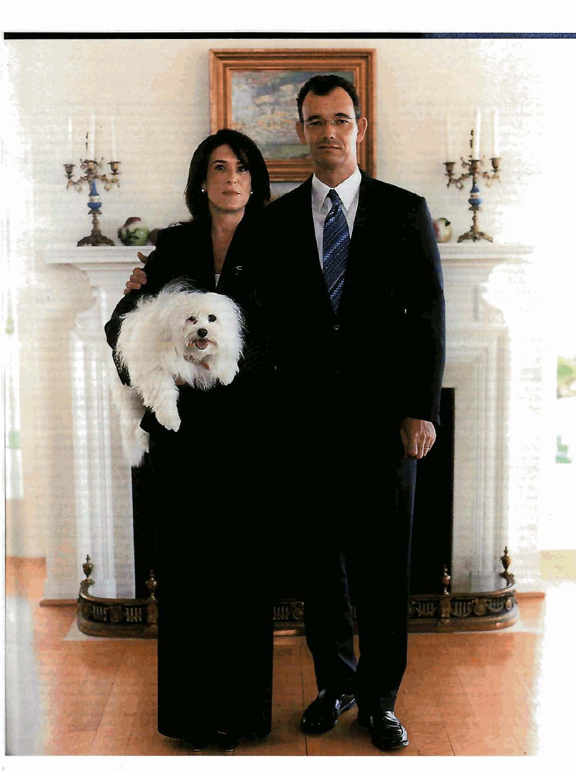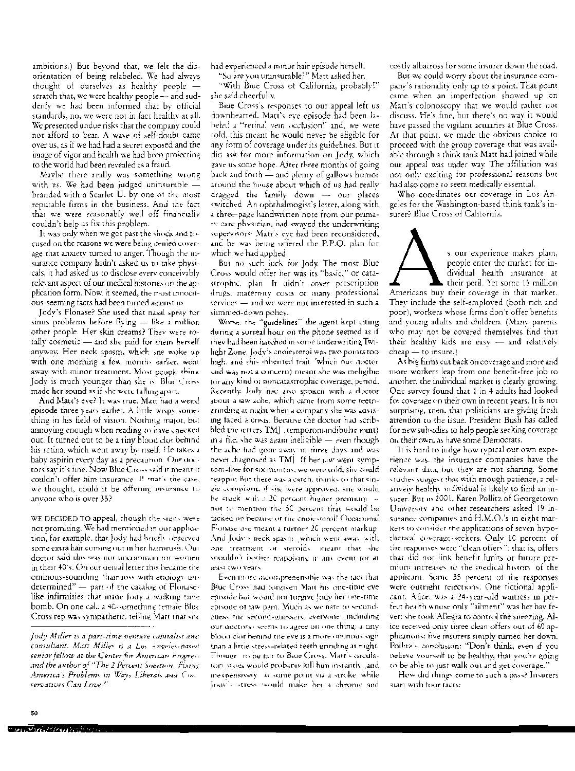ambitions.) But beyond that, we felt the disorientation of being relabeled. We had always thought of ourselves as healthy people scratch that, we were healthy people - and suddenly we had been informed that by official standards, no, we were not in fact healthy at all. We presented undue risks that the company could not afford to bear. A wave of self-doubt came over us, as if we had had a secret exposed and the image of vigor and health we had been projecting to the world had been revealed as a fraud.

Maybe there really was something wrong with us. We had been judged uninsurable branded with a Scarlet U. by one of the most reputable firms in the business. And the fact that we were reasonably well off financially couldn't help us fix this problem.

It was only when we got past the shock and focused on the reasons we were being denied coverage that anxiety turned to anger. Though the insurance company hadn't asked us to take physicals, it had asked us to disclose every conceivably relevant aspect of our medical histories on the anplication form. Now, it seemed, the most innocuous-seeming facts had been turned against us

Jody's Flonase? She used that nasal spray for sinus problems before flying - like a million other people. Her skin creams? They were totally cosmetic - and she paid for them herself anyway. Her neck spasm, which she woke up with one morning a few months earlier, went away with minor treatment. Most people think Jody is much younger than she is. Blue Cross made her sound as if she were talling apart.

And Matt's eve? It was true. Matt had a weird episode three years earlier. A little wispy something in his field of vision. Nothing major, but annoying enough when reading to nave enecked out. It turned out to be a tiny blood clot behind his retina, which went away by itself. He takes a baby aspirin every day as a precaution. Our doctors say it's fine. Now Blue Cross said it meant it couldn't offer him insurance. If man's the case, we thought, could it be offering insurance to anvone who is over 35?

WE DECIDED TO appeal, though the signs were not promising. We had mentioned in our application, for example, that lody had briefly observed some extra hair coming out in her hairwish. Our doctor said this was not uncommon for women in their 40's. On our demal letter this became the ominous-sounding thair loss with etiology undetermined" - part of the catalog of Flonaselike infirmities that made fouy a walking time bomb. On one call, a 40-something temale Blue Cross rep was sympathetic, telling Matt that she

had experienced a minor hair episode herself.

"So are you uninsurable?" Matt asked her.

"With Blue Cross of California, probably!" she said cheerfully.

Biue Cross's responses to our appeal left us downhearted. Matt's eve episode had been labeled a "retinal vein occlusion" and, we were told, this meant he would never be eligible for any form of coverage under its guidelines. But it did ask for more information on Jody, which gave us some hope. After three months of going back and forth - and plenty of gallows humor around the house about which of us had really dragged the family down - our places switched An ophthalmogist's letter, along with a three-page handwritten note from our primary care physician, had swayed the underwriting supervisors. Matr's eye had been reconsidered, and he was being offered the P.P.O. plan for which we had applied

But no such such for Jody. The most Blue Cross would offer her was its "basic." or catastrophic, plan. It didn't cover prescription drugs, maternity costs or many professional services - and we were not interested in such a simmed-down policy.

Worse, the "guidelines" the agent kept citing during a surreal hour on the phone seemed as if they had been hatched in some underwriting Twilight Zone. Jody's cnolesterol was two points toohigh, and this inherited trait 'which our aoctor said was not a concern) meant she was meligibietor any kind of noncatastrophic coverage, period. Recently. Jody nac also spoken with a doctor about a law ache, which came from some teetngrinding at night when a company she was aqvising faced a crisis. Because the doctor had scribbled the setters TMJ , temporomandibular ioint) in a file, she was again ineligible - even though the ache had gone away in three days and was never diagnosed as TMI. If her jaw went symptom-free for six months, we were told, she could reapply. But there was a catch, thanks to that singie complaint, if she were approved, she would be stuck with a 20 percent higher premium not to mention the 50 general that would be tacked on because of the cnoiesterol! Occasional Fonase ase meant a turtner 20 percent markup. And Jody's neck spasm, which went away with one treatment of steroids meant that she snouldn't bother reapplying in any event for at **CAST TWO VESTS** 

Even more moon prenensible was the fact that Blue Cross had torgiven Mart his one-time eveepisode but would not turgive Judy her one-time episode of jaw pain. Much as we nate to secondguess the second-guessers, everyone including our doctors (seems to agree on one thing; a tiny blood clot benind the eve is a more ominous sign than a little stress-related teeth grinding at might. Though to be fair to Bue Cross. Marr's proulatory woes would probably kill him instantly, and mexpensively at some point via a stroke, while louv's stress would make her a chronic and costly albatross for some insurer down the road.

But we could worry about the insurance company's rationality only up to a point. That point came when an imperfection showed up on Matt's colonoscopy that we would rather not discuss. He's fine, but there's no way it would have passed the vigilant actuaries at Blue Cross. At that point, we made the obvious choice to proceed with the group coverage that was available through a think tank Matt had joined while our appeal was under way. The affiliation was not only exciting for professional reasons but had also come to seem medically essential.

Who coordinates our coverage in Los Angeles for the Washington-based think tank's insurer? Blue Cross of California.



As high firms cut back on coverage and more and more workers leap from one benefit-free job to another, the individual market is clearly growing. One survey found that 1 in 4 adults had looked for coverage on their own in recent years. It is not surprising, then, that politicians are giving fresh attention to the issue. President Bush has called for new subsidies to help people seeking coverage on their own, as have some Democrats.

It is hard to judge how typical our own experience was, the insurance companies have the relevant data, but they are not sharing. Some studies suggest that with enough patience, a relatively healthy individual is likely to find an insurer. But in 2001, Karen Pollitz of Georgetown University and other researchers asked 19 insurance companies and H.M.O.'s in eight markets to consider the applications of seven hypothetical coverage-seekers. Only 10 percent of the responses were "clean offers": that is, offers that did not link benefit limits or future premium increases to the medical history of the applicant. Some 35 percent of the responses were outright rejections. One fictional applicant. Alice, was a 24-year-old waitress in pertect health wnose only "ailment" was her hav fever: she took Allegra to control the sneezing. Alice received only three clean offers out of 60 appheations: five insurers simply turned her down. Pollitz's conclusion: "Don't think, even if you believe vourself to be healthy, that you're going to be able to just walk out and get coverage."

How did things come to such a pass? Insurers start with four facts:

Jody Miller is a part-time venture capitalist and consultant. Matt Miller is a Los Angeles-pased senior fellow at the Center for American Progress and the author of "The 2 Percent Sotution. Fixing<br>America's Problems in Ways Liberals and Conservatives Can Love<sup>"</sup>